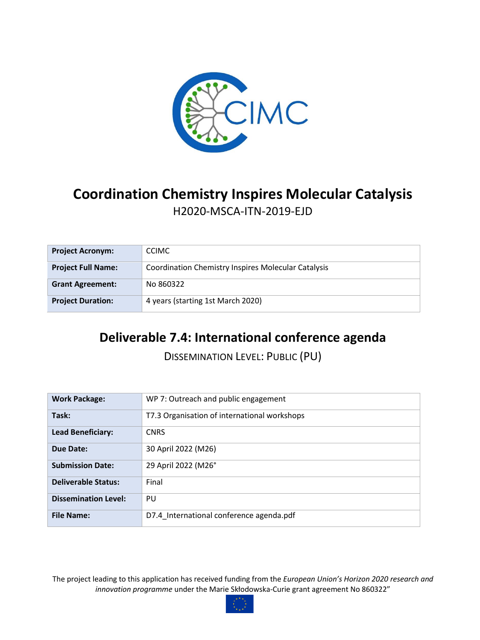

# **Coordination Chemistry Inspires Molecular Catalysis** H2020-MSCA-ITN-2019-EJD

| <b>Project Acronym:</b>   | <b>CCIMC</b>                                               |
|---------------------------|------------------------------------------------------------|
| <b>Project Full Name:</b> | <b>Coordination Chemistry Inspires Molecular Catalysis</b> |
| <b>Grant Agreement:</b>   | No 860322                                                  |
| <b>Project Duration:</b>  | 4 years (starting 1st March 2020)                          |

## **Deliverable 7.4: International conference agenda**

DISSEMINATION LEVEL: PUBLIC (PU)

| <b>Work Package:</b>        | WP 7: Outreach and public engagement         |
|-----------------------------|----------------------------------------------|
|                             |                                              |
| Task:                       | T7.3 Organisation of international workshops |
| <b>Lead Beneficiary:</b>    | <b>CNRS</b>                                  |
| Due Date:                   | 30 April 2022 (M26)                          |
| <b>Submission Date:</b>     | 29 April 2022 (M26°                          |
| <b>Deliverable Status:</b>  | Final                                        |
| <b>Dissemination Level:</b> | PU                                           |
| <b>File Name:</b>           | D7.4 International conference agenda.pdf     |

The project leading to this application has received funding from the *European Union's Horizon 2020 research and innovation programme* under the Marie Skłodowska-Curie grant agreement No 860322"

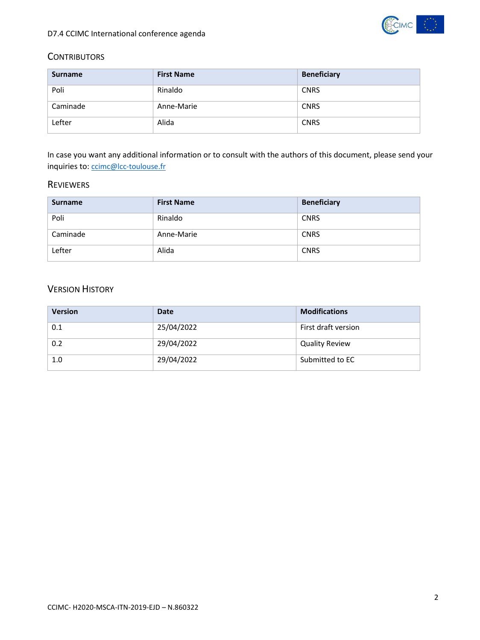

#### **CONTRIBUTORS**

| <b>Surname</b> | <b>First Name</b> | <b>Beneficiary</b> |
|----------------|-------------------|--------------------|
| Poli           | Rinaldo           | <b>CNRS</b>        |
| Caminade       | Anne-Marie        | <b>CNRS</b>        |
| Lefter         | Alida             | <b>CNRS</b>        |

In case you want any additional information or to consult with the authors of this document, please send your inquiries to: [ccimc@lcc-toulouse.fr](mailto:ccimc@lcc-toulouse.fr)

### REVIEWERS

| Surname  | <b>First Name</b> | <b>Beneficiary</b> |
|----------|-------------------|--------------------|
| Poli     | Rinaldo           | <b>CNRS</b>        |
| Caminade | Anne-Marie        | <b>CNRS</b>        |
| Lefter   | Alida             | <b>CNRS</b>        |

### VERSION HISTORY

| <b>Version</b> | Date       | <b>Modifications</b>  |
|----------------|------------|-----------------------|
| 0.1            | 25/04/2022 | First draft version   |
| 0.2            | 29/04/2022 | <b>Quality Review</b> |
| 1.0            | 29/04/2022 | Submitted to EC       |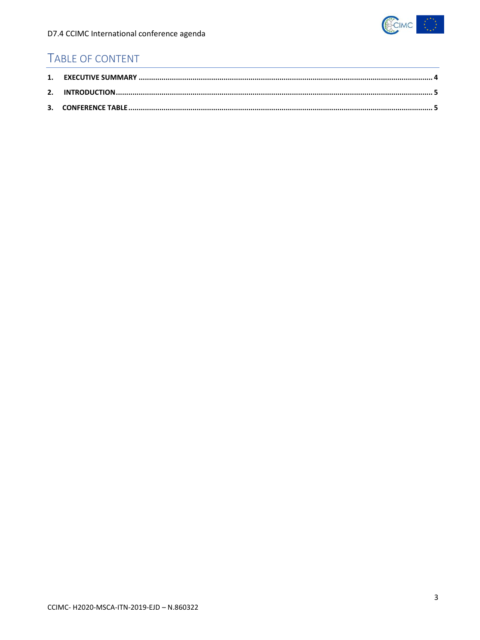

## TABLE OF CONTENT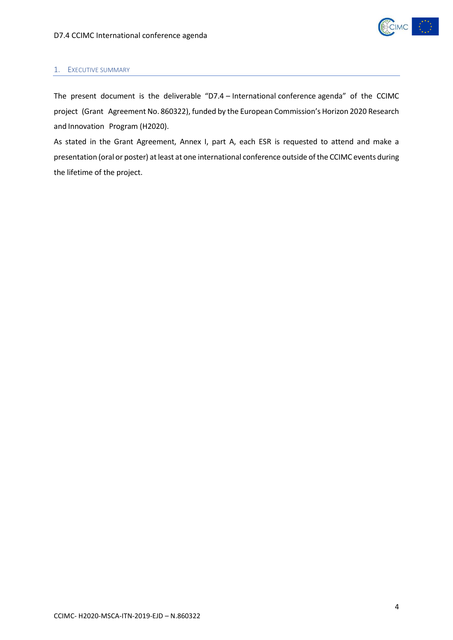

#### <span id="page-3-0"></span>1. EXECUTIVE SUMMARY

The present document is the deliverable "D7.4 – International conference agenda" of the CCIMC project (Grant Agreement No. 860322), funded by the European Commission's Horizon 2020 Research and Innovation Program (H2020).

As stated in the Grant Agreement, Annex I, part A, each ESR is requested to attend and make a presentation (oral or poster) at least at one international conference outside of the CCIMC events during the lifetime of the project.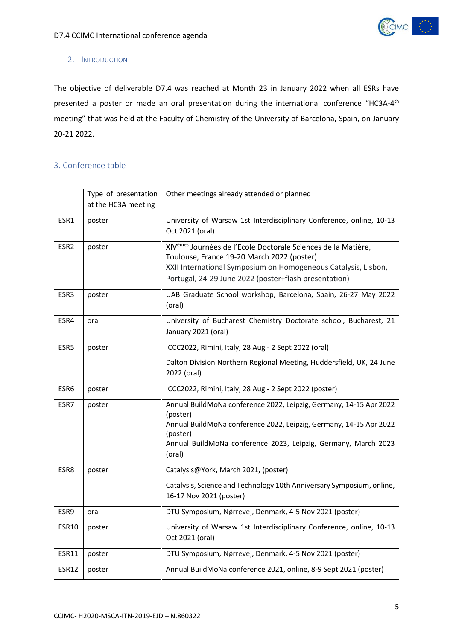

#### <span id="page-4-0"></span>2. INTRODUCTION

The objective of deliverable D7.4 was reached at Month 23 in January 2022 when all ESRs have presented a poster or made an oral presentation during the international conference "HC3A-4<sup>th</sup> meeting" that was held at the Faculty of Chemistry of the University of Barcelona, Spain, on January 20-21 2022.

#### <span id="page-4-1"></span>3. Conference table

|                  | Type of presentation<br>at the HC3A meeting | Other meetings already attended or planned                                                                                                                                                                                                         |
|------------------|---------------------------------------------|----------------------------------------------------------------------------------------------------------------------------------------------------------------------------------------------------------------------------------------------------|
| ESR1             | poster                                      | University of Warsaw 1st Interdisciplinary Conference, online, 10-13<br>Oct 2021 (oral)                                                                                                                                                            |
| ESR <sub>2</sub> | poster                                      | XIV <sup>èmes</sup> Journées de l'Ecole Doctorale Sciences de la Matière,<br>Toulouse, France 19-20 March 2022 (poster)<br>XXII International Symposium on Homogeneous Catalysis, Lisbon,<br>Portugal, 24-29 June 2022 (poster+flash presentation) |
| ESR3             | poster                                      | UAB Graduate School workshop, Barcelona, Spain, 26-27 May 2022<br>(oral)                                                                                                                                                                           |
| ESR4             | oral                                        | University of Bucharest Chemistry Doctorate school, Bucharest, 21<br>January 2021 (oral)                                                                                                                                                           |
| ESR5             | poster                                      | ICCC2022, Rimini, Italy, 28 Aug - 2 Sept 2022 (oral)<br>Dalton Division Northern Regional Meeting, Huddersfield, UK, 24 June<br>2022 (oral)                                                                                                        |
| ESR6             | poster                                      | ICCC2022, Rimini, Italy, 28 Aug - 2 Sept 2022 (poster)                                                                                                                                                                                             |
| ESR7             | poster                                      | Annual BuildMoNa conference 2022, Leipzig, Germany, 14-15 Apr 2022<br>(poster)<br>Annual BuildMoNa conference 2022, Leipzig, Germany, 14-15 Apr 2022<br>(poster)<br>Annual BuildMoNa conference 2023, Leipzig, Germany, March 2023<br>(oral)       |
| ESR8             | poster                                      | Catalysis@York, March 2021, (poster)<br>Catalysis, Science and Technology 10th Anniversary Symposium, online,<br>16-17 Nov 2021 (poster)                                                                                                           |
| ESR9             | oral                                        | DTU Symposium, Nørrevej, Denmark, 4-5 Nov 2021 (poster)                                                                                                                                                                                            |
| <b>ESR10</b>     | poster                                      | University of Warsaw 1st Interdisciplinary Conference, online, 10-13<br>Oct 2021 (oral)                                                                                                                                                            |
| ESR11            | poster                                      | DTU Symposium, Nørrevej, Denmark, 4-5 Nov 2021 (poster)                                                                                                                                                                                            |
| <b>ESR12</b>     | poster                                      | Annual BuildMoNa conference 2021, online, 8-9 Sept 2021 (poster)                                                                                                                                                                                   |